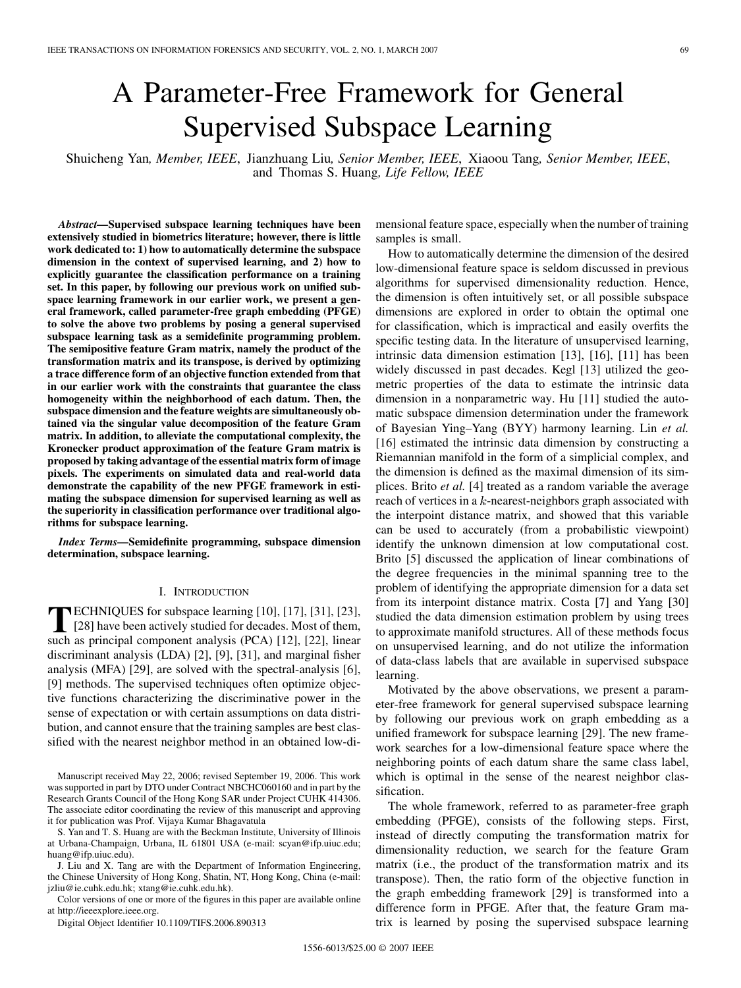# A Parameter-Free Framework for General Supervised Subspace Learning

Shuicheng Yan*, Member, IEEE*, Jianzhuang Liu*, Senior Member, IEEE*, Xiaoou Tang*, Senior Member, IEEE*, and Thomas S. Huang*, Life Fellow, IEEE*

*Abstract—***Supervised subspace learning techniques have been extensively studied in biometrics literature; however, there is little work dedicated to: 1) how to automatically determine the subspace dimension in the context of supervised learning, and 2) how to explicitly guarantee the classification performance on a training set. In this paper, by following our previous work on unified subspace learning framework in our earlier work, we present a general framework, called parameter-free graph embedding (PFGE) to solve the above two problems by posing a general supervised subspace learning task as a semidefinite programming problem. The semipositive feature Gram matrix, namely the product of the transformation matrix and its transpose, is derived by optimizing a trace difference form of an objective function extended from that in our earlier work with the constraints that guarantee the class homogeneity within the neighborhood of each datum. Then, the subspace dimension and the feature weights are simultaneously obtained via the singular value decomposition of the feature Gram matrix. In addition, to alleviate the computational complexity, the Kronecker product approximation of the feature Gram matrix is proposed by taking advantage of the essential matrix form of image pixels. The experiments on simulated data and real-world data demonstrate the capability of the new PFGE framework in estimating the subspace dimension for supervised learning as well as the superiority in classification performance over traditional algorithms for subspace learning.**

*Index Terms—***Semidefinite programming, subspace dimension determination, subspace learning.**

#### I. INTRODUCTION

**T**ECHNIQUES for subspace learning [\[10\]](#page-6-0), [\[17\], \[31\]](#page-6-0), [\[23\],](#page-6-0) [\[28\]](#page-6-0) have been actively studied for decades. Most of them, such as principal component analysis (PCA) [\[12\]](#page-6-0), [\[22\],](#page-6-0) linear discriminant analysis (LDA) [\[2\]](#page-6-0), [\[9\]](#page-6-0), [\[31\]](#page-6-0), and marginal fisher analysis (MFA) [\[29\]](#page-6-0), are solved with the spectral-analysis [\[6\],](#page-6-0) [\[9\]](#page-6-0) methods. The supervised techniques often optimize objective functions characterizing the discriminative power in the sense of expectation or with certain assumptions on data distribution, and cannot ensure that the training samples are best classified with the nearest neighbor method in an obtained low-di-

Manuscript received May 22, 2006; revised September 19, 2006. This work was supported in part by DTO under Contract NBCHC060160 and in part by the Research Grants Council of the Hong Kong SAR under Project CUHK 414306. The associate editor coordinating the review of this manuscript and approving it for publication was Prof. Vijaya Kumar Bhagavatula

S. Yan and T. S. Huang are with the Beckman Institute, University of Illinois at Urbana-Champaign, Urbana, IL 61801 USA (e-mail: scyan@ifp.uiuc.edu; huang@ifp.uiuc.edu).

J. Liu and X. Tang are with the Department of Information Engineering, the Chinese University of Hong Kong, Shatin, NT, Hong Kong, China (e-mail: jzliu@ie.cuhk.edu.hk; xtang@ie.cuhk.edu.hk).

Color versions of one or more of the figures in this paper are available online at http://ieeexplore.ieee.org.

Digital Object Identifier 10.1109/TIFS.2006.890313

mensional feature space, especially when the number of training samples is small.

How to automatically determine the dimension of the desired low-dimensional feature space is seldom discussed in previous algorithms for supervised dimensionality reduction. Hence, the dimension is often intuitively set, or all possible subspace dimensions are explored in order to obtain the optimal one for classification, which is impractical and easily overfits the specific testing data. In the literature of unsupervised learning, intrinsic data dimension estimation [\[13\], \[16\]](#page-6-0), [\[11\]](#page-6-0) has been widely discussed in past decades. Kegl [\[13\]](#page-6-0) utilized the geometric properties of the data to estimate the intrinsic data dimension in a nonparametric way. Hu [\[11\]](#page-6-0) studied the automatic subspace dimension determination under the framework of Bayesian Ying–Yang (BYY) harmony learning. Lin *et al.* [\[16\]](#page-6-0) estimated the intrinsic data dimension by constructing a Riemannian manifold in the form of a simplicial complex, and the dimension is defined as the maximal dimension of its simplices. Brito *et al.* [\[4\]](#page-6-0) treated as a random variable the average reach of vertices in a  $k$ -nearest-neighbors graph associated with the interpoint distance matrix, and showed that this variable can be used to accurately (from a probabilistic viewpoint) identify the unknown dimension at low computational cost. Brito [\[5\]](#page-6-0) discussed the application of linear combinations of the degree frequencies in the minimal spanning tree to the problem of identifying the appropriate dimension for a data set from its interpoint distance matrix. Costa [\[7\]](#page-6-0) and Yang [\[30\]](#page-6-0) studied the data dimension estimation problem by using trees to approximate manifold structures. All of these methods focus on unsupervised learning, and do not utilize the information of data-class labels that are available in supervised subspace learning.

Motivated by the above observations, we present a parameter-free framework for general supervised subspace learning by following our previous work on graph embedding as a unified framework for subspace learning [\[29\].](#page-6-0) The new framework searches for a low-dimensional feature space where the neighboring points of each datum share the same class label, which is optimal in the sense of the nearest neighbor classification.

The whole framework, referred to as parameter-free graph embedding (PFGE), consists of the following steps. First, instead of directly computing the transformation matrix for dimensionality reduction, we search for the feature Gram matrix (i.e., the product of the transformation matrix and its transpose). Then, the ratio form of the objective function in the graph embedding framework [\[29\]](#page-6-0) is transformed into a difference form in PFGE. After that, the feature Gram matrix is learned by posing the supervised subspace learning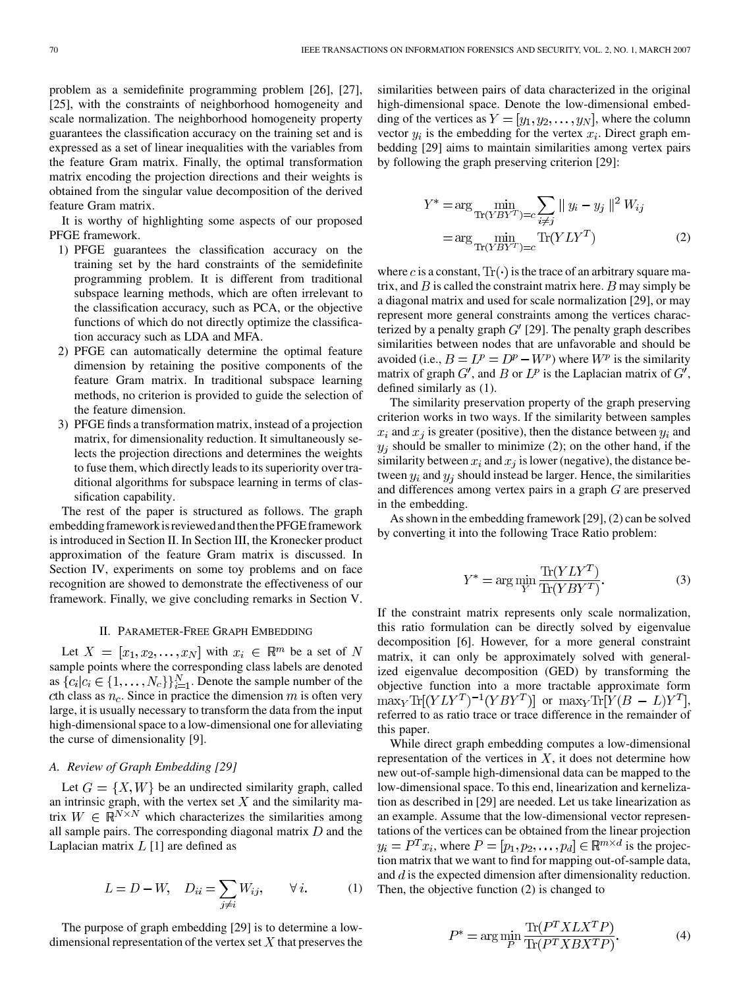problem as a semidefinite programming problem [\[26\], \[27\]](#page-6-0), [\[25\]](#page-6-0), with the constraints of neighborhood homogeneity and scale normalization. The neighborhood homogeneity property guarantees the classification accuracy on the training set and is expressed as a set of linear inequalities with the variables from the feature Gram matrix. Finally, the optimal transformation matrix encoding the projection directions and their weights is obtained from the singular value decomposition of the derived feature Gram matrix.

It is worthy of highlighting some aspects of our proposed PFGE framework.

- 1) PFGE guarantees the classification accuracy on the training set by the hard constraints of the semidefinite programming problem. It is different from traditional subspace learning methods, which are often irrelevant to the classification accuracy, such as PCA, or the objective functions of which do not directly optimize the classification accuracy such as LDA and MFA.
- 2) PFGE can automatically determine the optimal feature dimension by retaining the positive components of the feature Gram matrix. In traditional subspace learning methods, no criterion is provided to guide the selection of the feature dimension.
- 3) PFGE finds a transformation matrix, instead of a projection matrix, for dimensionality reduction. It simultaneously selects the projection directions and determines the weights to fuse them, which directly leads to its superiority over traditional algorithms for subspace learning in terms of classification capability.

The rest of the paper is structured as follows. The graph embedding framework is reviewed and then the PFGE framework is introduced in Section II. In [Section III,](#page-2-0) the Kronecker product approximation of the feature Gram matrix is discussed. In [Section IV](#page-4-0), experiments on some toy problems and on face recognition are showed to demonstrate the effectiveness of our framework. Finally, we give concluding remarks in [Section V](#page-5-0).

#### II. PARAMETER-FREE GRAPH EMBEDDING

Let  $X = [x_1, x_2, \dots, x_N]$  with  $x_i \in \mathbb{R}^m$  be a set of N sample points where the corresponding class labels are denoted as  $\{c_i|c_i \in \{1,\ldots,N_c\}\}_{i=1}^N$ . Denote the sample number of the cth class as  $n_c$ . Since in practice the dimension m is often very large, it is usually necessary to transform the data from the input high-dimensional space to a low-dimensional one for alleviating the curse of dimensionality [\[9\]](#page-6-0).

### *A. Review of Graph Embedding [\[29\]](#page-6-0)*

Let  $G = \{X, W\}$  be an undirected similarity graph, called an intrinsic graph, with the vertex set  $X$  and the similarity matrix  $W \in \mathbb{R}^{N \times N}$  which characterizes the similarities among all sample pairs. The corresponding diagonal matrix  $D$  and the Laplacian matrix  $L$  [\[1\]](#page-6-0) are defined as

$$
L = D - W, \quad D_{ii} = \sum_{j \neq i} W_{ij}, \qquad \forall i. \tag{1}
$$

The purpose of graph embedding [\[29\]](#page-6-0) is to determine a lowdimensional representation of the vertex set  $X$  that preserves the

similarities between pairs of data characterized in the original high-dimensional space. Denote the low-dimensional embedding of the vertices as  $Y = [y_1, y_2, \dots, y_N]$ , where the column vector  $y_i$  is the embedding for the vertex  $x_i$ . Direct graph embedding [\[29\]](#page-6-0) aims to maintain similarities among vertex pairs by following the graph preserving criterion [\[29\]](#page-6-0):

$$
Y^* = \arg\min_{\text{Tr}(YBY^T)=c} \sum_{i\neq j} \|y_i - y_j\|^2 W_{ij}
$$

$$
= \arg\min_{\text{Tr}(YBY^T)=c} \text{Tr}(YLY^T)
$$
(2)

where c is a constant,  $Tr(\cdot)$  is the trace of an arbitrary square matrix, and  $B$  is called the constraint matrix here.  $B$  may simply be a diagonal matrix and used for scale normalization [\[29\]](#page-6-0), or may represent more general constraints among the vertices characterized by a penalty graph  $G'$  [\[29\]](#page-6-0). The penalty graph describes similarities between nodes that are unfavorable and should be avoided (i.e.,  $B = L^p = D^p - W^p$ ) where  $W^p$  is the similarity matrix of graph  $G'$ , and B or  $L^p$  is the Laplacian matrix of  $G'$ , defined similarly as (1).

The similarity preservation property of the graph preserving criterion works in two ways. If the similarity between samples  $x_i$  and  $x_j$  is greater (positive), then the distance between  $y_i$  and  $y_i$  should be smaller to minimize (2); on the other hand, if the similarity between  $x_i$  and  $x_j$  is lower (negative), the distance between  $y_i$  and  $y_j$  should instead be larger. Hence, the similarities and differences among vertex pairs in a graph  $G$  are preserved in the embedding.

As shown in the embedding framework [\[29\],](#page-6-0) (2) can be solved by converting it into the following Trace Ratio problem:

$$
Y^* = \arg\min_{Y} \frac{\text{Tr}(YLY^T)}{\text{Tr}(YBY^T)}.
$$
 (3)

If the constraint matrix represents only scale normalization, this ratio formulation can be directly solved by eigenvalue decomposition [\[6\].](#page-6-0) However, for a more general constraint matrix, it can only be approximately solved with generalized eigenvalue decomposition (GED) by transforming the objective function into a more tractable approximate form  $\max_{Y} \text{Tr}[(YLY^{T})^{-1}(YBY^{T})]$  or  $\max_{Y} \text{Tr}[Y(B-L)Y^{T}],$ referred to as ratio trace or trace difference in the remainder of this paper.

While direct graph embedding computes a low-dimensional representation of the vertices in  $X$ , it does not determine how new out-of-sample high-dimensional data can be mapped to the low-dimensional space. To this end, linearization and kernelization as described in [\[29\]](#page-6-0) are needed. Let us take linearization as an example. Assume that the low-dimensional vector representations of the vertices can be obtained from the linear projection  $y_i = P^T x_i$ , where  $P = [p_1, p_2, \dots, p_d] \in \mathbb{R}^{m \times d}$  is the projection matrix that we want to find for mapping out-of-sample data, and  $d$  is the expected dimension after dimensionality reduction. Then, the objective function (2) is changed to

$$
P^* = \arg\min_{P} \frac{\text{Tr}(P^T X L X^T P)}{\text{Tr}(P^T X B X^T P)}.
$$
\n(4)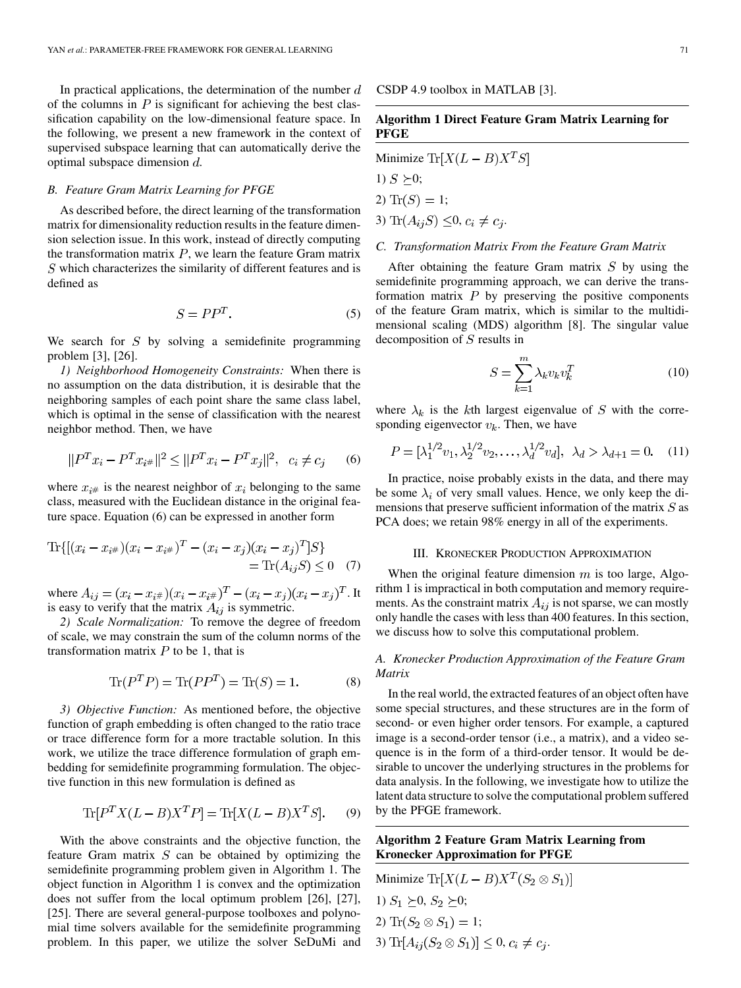<span id="page-2-0"></span>In practical applications, the determination of the number  $d$ of the columns in  $P$  is significant for achieving the best classification capability on the low-dimensional feature space. In the following, we present a new framework in the context of supervised subspace learning that can automatically derive the optimal subspace dimension  $d$ .

#### *B. Feature Gram Matrix Learning for PFGE*

As described before, the direct learning of the transformation matrix for dimensionality reduction results in the feature dimension selection issue. In this work, instead of directly computing the transformation matrix  $P$ , we learn the feature Gram matrix  $S$  which characterizes the similarity of different features and is defined as

$$
S = PP^T. \tag{5}
$$

We search for  $S$  by solving a semidefinite programming problem [\[3\], \[26\].](#page-6-0)

*1) Neighborhood Homogeneity Constraints:* When there is no assumption on the data distribution, it is desirable that the neighboring samples of each point share the same class label, which is optimal in the sense of classification with the nearest neighbor method. Then, we have

$$
||P^T x_i - P^T x_{i\#}||^2 \le ||P^T x_i - P^T x_j||^2, \ c_i \ne c_j \qquad (6)
$$

where  $x_{i#}$  is the nearest neighbor of  $x_i$  belonging to the same class, measured with the Euclidean distance in the original feature space. Equation (6) can be expressed in another form

$$
\text{Tr}\{[(x_i - x_{i\#})(x_i - x_{i\#})^T - (x_i - x_j)(x_i - x_j)^T]S\}
$$
  
= 
$$
\text{Tr}(A_{ij}S) \le 0 \quad (7)
$$

where  $A_{ij} = (x_i - x_{i\#})(x_i - x_{i\#})^T - (x_i - x_j)(x_i - x_j)^T$ . It is easy to verify that the matrix  $A_{ij}$  is symmetric.

*2) Scale Normalization:* To remove the degree of freedom of scale, we may constrain the sum of the column norms of the transformation matrix  $P$  to be 1, that is

$$
\text{Tr}(P^T P) = \text{Tr}(P P^T) = \text{Tr}(S) = 1.
$$
 (8)

*3) Objective Function:* As mentioned before, the objective function of graph embedding is often changed to the ratio trace or trace difference form for a more tractable solution. In this work, we utilize the trace difference formulation of graph embedding for semidefinite programming formulation. The objective function in this new formulation is defined as

$$
\text{Tr}[P^T X (L - B) X^T P] = \text{Tr}[X (L - B) X^T S]. \tag{9}
$$

With the above constraints and the objective function, the feature Gram matrix  $S$  can be obtained by optimizing the semidefinite programming problem given in Algorithm 1. The object function in Algorithm 1 is convex and the optimization does not suffer from the local optimum problem [\[26\]](#page-6-0), [\[27\],](#page-6-0) [\[25\].](#page-6-0) There are several general-purpose toolboxes and polynomial time solvers available for the semidefinite programming problem. In this paper, we utilize the solver SeDuMi and

CSDP 4.9 toolbox in MATLAB [\[3\].](#page-6-0)

# **Algorithm 1 Direct Feature Gram Matrix Learning for PFGE**

# Minimize  $\text{Tr}[X(L-B)X^TS]$

1)  $S \geq 0$ ;

2)  $\text{Tr}(S) = 1;$ 

3) 
$$
\text{Tr}(A_{ij}S) \leq 0, c_i \neq c_j.
$$

# *C. Transformation Matrix From the Feature Gram Matrix*

After obtaining the feature Gram matrix  $S$  by using the semidefinite programming approach, we can derive the transformation matrix  $P$  by preserving the positive components of the feature Gram matrix, which is similar to the multidimensional scaling (MDS) algorithm [\[8\]](#page-6-0). The singular value decomposition of  $S$  results in

$$
S = \sum_{k=1}^{m} \lambda_k v_k v_k^T
$$
 (10)

where  $\lambda_k$  is the kth largest eigenvalue of S with the corresponding eigenvector  $v_k$ . Then, we have

$$
P = [\lambda_1^{1/2} v_1, \lambda_2^{1/2} v_2, \dots, \lambda_d^{1/2} v_d], \ \lambda_d > \lambda_{d+1} = 0. \tag{11}
$$

In practice, noise probably exists in the data, and there may be some  $\lambda_i$  of very small values. Hence, we only keep the dimensions that preserve sufficient information of the matrix  $S$  as PCA does; we retain 98% energy in all of the experiments.

#### III. KRONECKER PRODUCTION APPROXIMATION

When the original feature dimension  $m$  is too large, Algorithm 1 is impractical in both computation and memory requirements. As the constraint matrix  $A_{ij}$  is not sparse, we can mostly only handle the cases with less than 400 features. In this section, we discuss how to solve this computational problem.

# *A. Kronecker Production Approximation of the Feature Gram Matrix*

In the real world, the extracted features of an object often have some special structures, and these structures are in the form of second- or even higher order tensors. For example, a captured image is a second-order tensor (i.e., a matrix), and a video sequence is in the form of a third-order tensor. It would be desirable to uncover the underlying structures in the problems for data analysis. In the following, we investigate how to utilize the latent data structure to solve the computational problem suffered by the PFGE framework.

# **Algorithm 2 Feature Gram Matrix Learning from Kronecker Approximation for PFGE**

Minimize Tr[
$$
X(L - B)X^T(S_2 \otimes S_1)
$$
]  
1)  $S_1 \succeq 0$ ,  $S_2 \succeq 0$ ;  
2) Tr( $S_2 \otimes S_1$ ) = 1;  
3) Tr[ $A_{ij}(S_2 \otimes S_1)$ ]  $\leq 0$ ,  $c_i \neq c_j$ .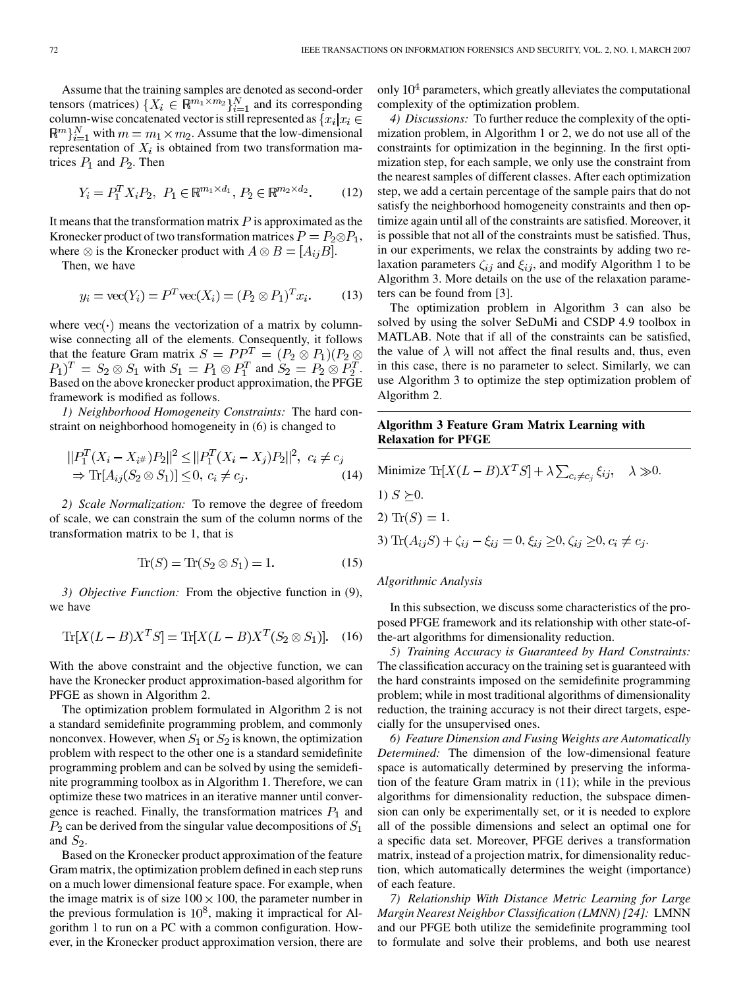Assume that the training samples are denoted as second-order tensors (matrices)  $\{X_i \in \mathbb{R}^{m_1 \times m_2}\}_{i=1}^N$  and its corresponding column-wise concatenated vector is still represented as  ${x_i | x_i \in \mathcal{X}}$ with  $m = m_1 \times m_2$ . Assume that the low-dimensional representation of  $X_i$  is obtained from two transformation matrices  $P_1$  and  $P_2$ . Then

$$
Y_i = P_1^T X_i P_2, \ P_1 \in \mathbb{R}^{m_1 \times d_1}, \ P_2 \in \mathbb{R}^{m_2 \times d_2}.\tag{12}
$$

It means that the transformation matrix  $P$  is approximated as the Kronecker product of two transformation matrices  $P = P_2 \otimes P_1$ , where  $\otimes$  is the Kronecker product with  $A \otimes B = [A_{ij}B]$ .

Then, we have

$$
y_i = \text{vec}(Y_i) = P^T \text{vec}(X_i) = (P_2 \otimes P_1)^T x_i.
$$
 (13)

where  $vec(\cdot)$  means the vectorization of a matrix by columnwise connecting all of the elements. Consequently, it follows that the feature Gram matrix  $S = PP^{T} = (P_2 \otimes P_1)(P_2 \otimes P_2)$  $P_1$ ) $T = S_2 \otimes S_1$  with  $S_1 = P_1 \otimes P_1^T$  and  $S_2 = P_2 \otimes P_2^T$ . Based on the above kronecker product approximation, the PFGE framework is modified as follows.

*1) Neighborhood Homogeneity Constraints:* The hard constraint on neighborhood homogeneity in [\(6\)](#page-2-0) is changed to

$$
||P_1^T(X_i - X_{i#})P_2||^2 \le ||P_1^T(X_i - X_j)P_2||^2, \ c_i \ne c_j
$$
  
\n
$$
\Rightarrow \text{Tr}[A_{ij}(S_2 \otimes S_1)] \le 0, \ c_i \ne c_j.
$$
 (14)

*2) Scale Normalization:* To remove the degree of freedom of scale, we can constrain the sum of the column norms of the transformation matrix to be 1, that is

$$
\operatorname{Tr}(S) = \operatorname{Tr}(S_2 \otimes S_1) = 1. \tag{15}
$$

*3) Objective Function:* From the objective function in [\(9\)](#page-2-0), we have

$$
\text{Tr}[X(L-B)X^TS] = \text{Tr}[X(L-B)X^T(S_2 \otimes S_1)]. \quad (16)
$$

With the above constraint and the objective function, we can have the Kronecker product approximation-based algorithm for PFGE as shown in Algorithm 2.

The optimization problem formulated in Algorithm 2 is not a standard semidefinite programming problem, and commonly nonconvex. However, when  $S_1$  or  $S_2$  is known, the optimization problem with respect to the other one is a standard semidefinite programming problem and can be solved by using the semidefinite programming toolbox as in Algorithm 1. Therefore, we can optimize these two matrices in an iterative manner until convergence is reached. Finally, the transformation matrices  $P_1$  and  $P_2$  can be derived from the singular value decompositions of  $S_1$ and  $S_2$ .

Based on the Kronecker product approximation of the feature Gram matrix, the optimization problem defined in each step runs on a much lower dimensional feature space. For example, when the image matrix is of size  $100 \times 100$ , the parameter number in the previous formulation is  $10^8$ , making it impractical for Algorithm 1 to run on a PC with a common configuration. However, in the Kronecker product approximation version, there are

only  $10<sup>4</sup>$  parameters, which greatly alleviates the computational complexity of the optimization problem.

*4) Discussions:* To further reduce the complexity of the optimization problem, in Algorithm 1 or 2, we do not use all of the constraints for optimization in the beginning. In the first optimization step, for each sample, we only use the constraint from the nearest samples of different classes. After each optimization step, we add a certain percentage of the sample pairs that do not satisfy the neighborhood homogeneity constraints and then optimize again until all of the constraints are satisfied. Moreover, it is possible that not all of the constraints must be satisfied. Thus, in our experiments, we relax the constraints by adding two relaxation parameters  $\zeta_{ij}$  and  $\xi_{ij}$ , and modify Algorithm 1 to be Algorithm 3. More details on the use of the relaxation parameters can be found from [\[3\].](#page-6-0)

The optimization problem in Algorithm 3 can also be solved by using the solver SeDuMi and CSDP 4.9 toolbox in MATLAB. Note that if all of the constraints can be satisfied, the value of  $\lambda$  will not affect the final results and, thus, even in this case, there is no parameter to select. Similarly, we can use Algorithm 3 to optimize the step optimization problem of Algorithm 2.

# **Algorithm 3 Feature Gram Matrix Learning with Relaxation for PFGE**

Minimize  $\text{Tr}[X(L-B)X^TS] + \lambda \sum_{c_i \neq c_i} \xi_{ij}, \quad \lambda \gg 0.$ 1)  $S \succeq 0$ . 2)  $\text{Tr}(S) = 1$ . 3)  $\text{Tr}(A_{ij}S) + \zeta_{ij} - \xi_{ij} = 0, \xi_{ij} \geq 0, \zeta_{ij} \geq 0, c_i \neq c_j.$ 

#### *Algorithmic Analysis*

In this subsection, we discuss some characteristics of the proposed PFGE framework and its relationship with other state-ofthe-art algorithms for dimensionality reduction.

*5) Training Accuracy is Guaranteed by Hard Constraints:* The classification accuracy on the training set is guaranteed with the hard constraints imposed on the semidefinite programming problem; while in most traditional algorithms of dimensionality reduction, the training accuracy is not their direct targets, especially for the unsupervised ones.

*6) Feature Dimension and Fusing Weights are Automatically Determined:* The dimension of the low-dimensional feature space is automatically determined by preserving the information of the feature Gram matrix in [\(11\);](#page-2-0) while in the previous algorithms for dimensionality reduction, the subspace dimension can only be experimentally set, or it is needed to explore all of the possible dimensions and select an optimal one for a specific data set. Moreover, PFGE derives a transformation matrix, instead of a projection matrix, for dimensionality reduction, which automatically determines the weight (importance) of each feature.

*7) Relationship With Distance Metric Learning for Large Margin Nearest Neighbor Classification (LMNN) [\[24\]:](#page-6-0)* LMNN and our PFGE both utilize the semidefinite programming tool to formulate and solve their problems, and both use nearest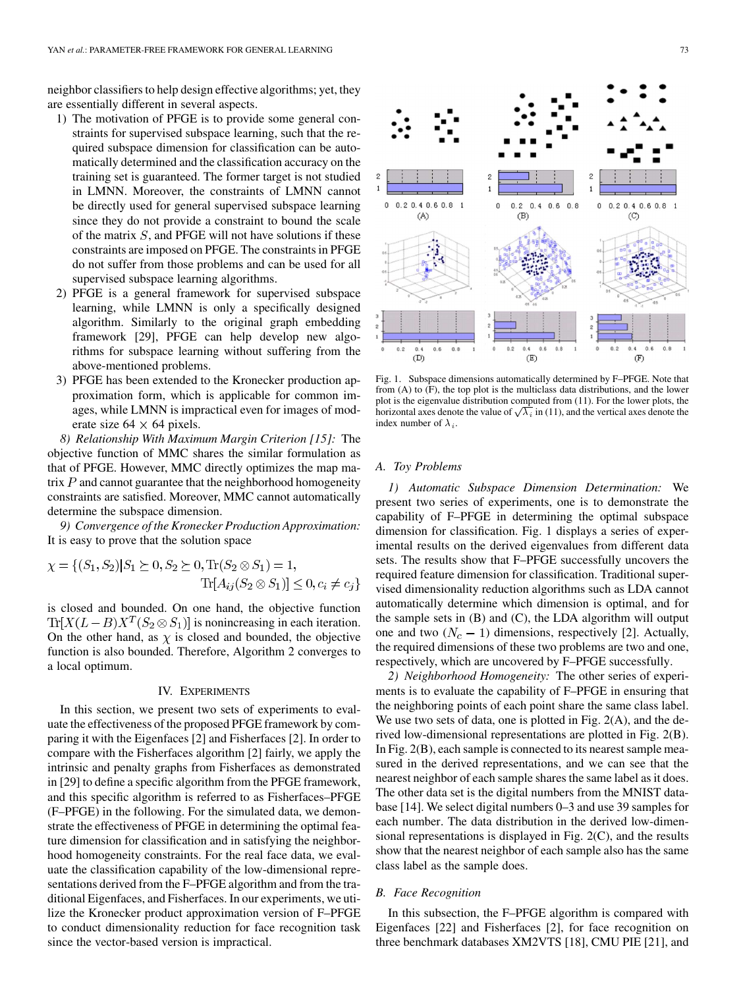<span id="page-4-0"></span>neighbor classifiers to help design effective algorithms; yet, they are essentially different in several aspects.

- 1) The motivation of PFGE is to provide some general constraints for supervised subspace learning, such that the required subspace dimension for classification can be automatically determined and the classification accuracy on the training set is guaranteed. The former target is not studied in LMNN. Moreover, the constraints of LMNN cannot be directly used for general supervised subspace learning since they do not provide a constraint to bound the scale of the matrix  $S$ , and PFGE will not have solutions if these constraints are imposed on PFGE. The constraints in PFGE do not suffer from those problems and can be used for all supervised subspace learning algorithms.
- 2) PFGE is a general framework for supervised subspace learning, while LMNN is only a specifically designed algorithm. Similarly to the original graph embedding framework [\[29\]](#page-6-0), PFGE can help develop new algorithms for subspace learning without suffering from the above-mentioned problems.
- 3) PFGE has been extended to the Kronecker production approximation form, which is applicable for common images, while LMNN is impractical even for images of moderate size  $64 \times 64$  pixels.

*8) Relationship With Maximum Margin Criterion [\[15\]:](#page-6-0)* The objective function of MMC shares the similar formulation as that of PFGE. However, MMC directly optimizes the map matrix  $P$  and cannot guarantee that the neighborhood homogeneity constraints are satisfied. Moreover, MMC cannot automatically determine the subspace dimension.

*9) Convergence of the Kronecker Production Approximation:* It is easy to prove that the solution space

$$
\chi = \{ (S_1, S_2) | S_1 \succeq 0, S_2 \succeq 0, \text{Tr}(S_2 \otimes S_1) = 1, \text{Tr}[A_{ij}(S_2 \otimes S_1)] \leq 0, c_i \neq c_j \}
$$

is closed and bounded. On one hand, the objective function  $Tr[X(L-B)X^{T}(S_2 \otimes S_1)]$  is nonincreasing in each iteration. On the other hand, as  $\chi$  is closed and bounded, the objective function is also bounded. Therefore, Algorithm 2 converges to a local optimum.

#### IV. EXPERIMENTS

In this section, we present two sets of experiments to evaluate the effectiveness of the proposed PFGE framework by comparing it with the Eigenfaces [\[2\]](#page-6-0) and Fisherfaces [\[2\]](#page-6-0). In order to compare with the Fisherfaces algorithm [\[2\]](#page-6-0) fairly, we apply the intrinsic and penalty graphs from Fisherfaces as demonstrated in [\[29\]](#page-6-0) to define a specific algorithm from the PFGE framework, and this specific algorithm is referred to as Fisherfaces–PFGE (F–PFGE) in the following. For the simulated data, we demonstrate the effectiveness of PFGE in determining the optimal feature dimension for classification and in satisfying the neighborhood homogeneity constraints. For the real face data, we evaluate the classification capability of the low-dimensional representations derived from the F–PFGE algorithm and from the traditional Eigenfaces, and Fisherfaces. In our experiments, we utilize the Kronecker product approximation version of F–PFGE to conduct dimensionality reduction for face recognition task since the vector-based version is impractical.



Fig. 1. Subspace dimensions automatically determined by F–PFGE. Note that from (A) to (F), the top plot is the multiclass data distributions, and the lower plot is the eigenvalue distribution computed from [\(11\).](#page-2-0) For the lower plots, the horizontal axes denote the value of  $\sqrt{\lambda_i}$  in [\(11\)](#page-2-0), and the vertical axes denote the index number of  $\lambda_i$ .

#### *A. Toy Problems*

*1) Automatic Subspace Dimension Determination:* We present two series of experiments, one is to demonstrate the capability of F–PFGE in determining the optimal subspace dimension for classification. Fig. 1 displays a series of experimental results on the derived eigenvalues from different data sets. The results show that F–PFGE successfully uncovers the required feature dimension for classification. Traditional supervised dimensionality reduction algorithms such as LDA cannot automatically determine which dimension is optimal, and for the sample sets in  $(B)$  and  $(C)$ , the LDA algorithm will output one and two  $(N_c - 1)$  dimensions, respectively [\[2\]](#page-6-0). Actually, the required dimensions of these two problems are two and one, respectively, which are uncovered by F–PFGE successfully.

*2) Neighborhood Homogeneity:* The other series of experiments is to evaluate the capability of F–PFGE in ensuring that the neighboring points of each point share the same class label. We use two sets of data, one is plotted in [Fig. 2\(A\),](#page-5-0) and the derived low-dimensional representations are plotted in [Fig. 2\(B\).](#page-5-0) In [Fig. 2\(B\),](#page-5-0) each sample is connected to its nearest sample measured in the derived representations, and we can see that the nearest neighbor of each sample shares the same label as it does. The other data set is the digital numbers from the MNIST database [\[14\]](#page-6-0). We select digital numbers 0–3 and use 39 samples for each number. The data distribution in the derived low-dimensional representations is displayed in [Fig. 2\(C\),](#page-5-0) and the results show that the nearest neighbor of each sample also has the same class label as the sample does.

# *B. Face Recognition*

In this subsection, the F–PFGE algorithm is compared with Eigenfaces [\[22\]](#page-6-0) and Fisherfaces [\[2\]](#page-6-0), for face recognition on three benchmark databases XM2VTS [\[18\]](#page-6-0), CMU PIE [\[21\],](#page-6-0) and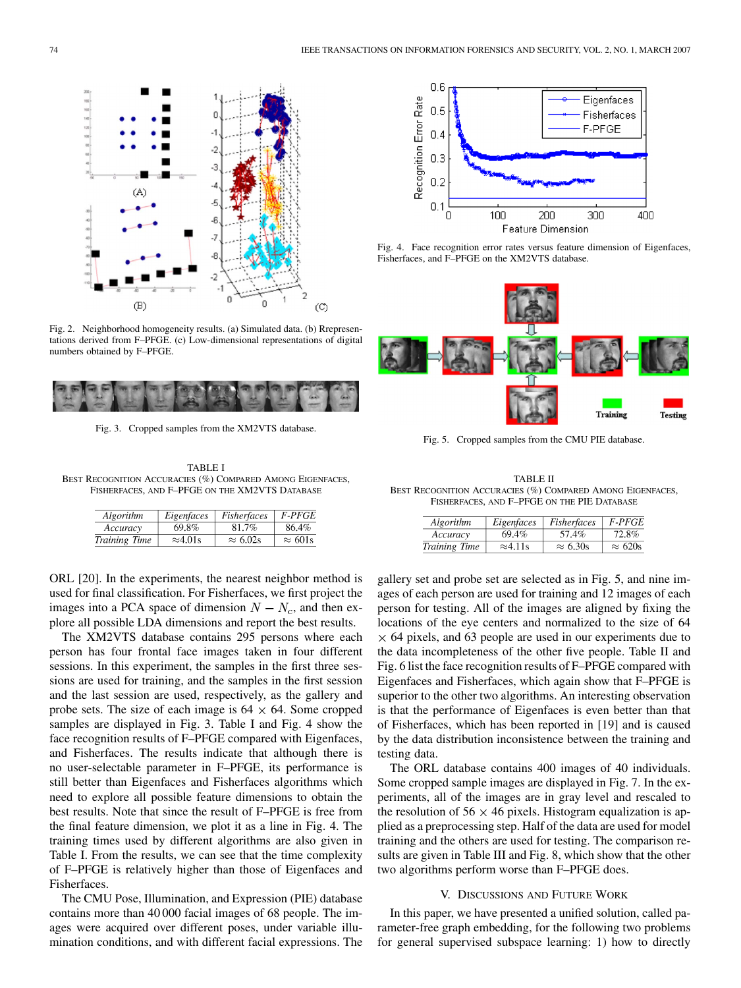<span id="page-5-0"></span>

Fig. 2. Neighborhood homogeneity results. (a) Simulated data. (b) Rrepresentations derived from F–PFGE. (c) Low-dimensional representations of digital numbers obtained by F–PFGE.



Fig. 3. Cropped samples from the XM2VTS database.

TABLE I BEST RECOGNITION ACCURACIES (%) COMPARED AMONG EIGENFACES, FISHERFACES, AND F–PFGE ON THE XM2VTS DATABASE

| Algorithm     | Eigenfaces       | Fisherfaces      | <i>F-PFGE</i>   |
|---------------|------------------|------------------|-----------------|
| Accuracy      | 69.8%            | 81.7%            | 86.4%           |
| Training Time | $\approx 4.01$ s | $\approx 6.02$ s | $\approx 601$ s |

ORL [\[20\]](#page-6-0). In the experiments, the nearest neighbor method is used for final classification. For Fisherfaces, we first project the images into a PCA space of dimension  $N - N_c$ , and then explore all possible LDA dimensions and report the best results.

The XM2VTS database contains 295 persons where each person has four frontal face images taken in four different sessions. In this experiment, the samples in the first three sessions are used for training, and the samples in the first session and the last session are used, respectively, as the gallery and probe sets. The size of each image is  $64 \times 64$ . Some cropped samples are displayed in Fig. 3. Table I and Fig. 4 show the face recognition results of F–PFGE compared with Eigenfaces, and Fisherfaces. The results indicate that although there is no user-selectable parameter in F–PFGE, its performance is still better than Eigenfaces and Fisherfaces algorithms which need to explore all possible feature dimensions to obtain the best results. Note that since the result of F–PFGE is free from the final feature dimension, we plot it as a line in Fig. 4. The training times used by different algorithms are also given in Table I. From the results, we can see that the time complexity of F–PFGE is relatively higher than those of Eigenfaces and Fisherfaces.

The CMU Pose, Illumination, and Expression (PIE) database contains more than 40 000 facial images of 68 people. The images were acquired over different poses, under variable illumination conditions, and with different facial expressions. The



Fig. 4. Face recognition error rates versus feature dimension of Eigenfaces, Fisherfaces, and F–PFGE on the XM2VTS database.



Fig. 5. Cropped samples from the CMU PIE database.

TABLE II BEST RECOGNITION ACCURACIES (%) COMPARED AMONG EIGENFACES, FISHERFACES, AND F–PFGE ON THE PIE DATABASE

| Algorithm     | Eigenfaces       | Fisherfaces     | <b>F-PFGE</b>  |
|---------------|------------------|-----------------|----------------|
| Accuracy      | 69.4%            | 57.4%           | 72.8%          |
| Training Time | $\approx 4.11$ s | $\approx 6.30s$ | $\approx 620s$ |

gallery set and probe set are selected as in Fig. 5, and nine images of each person are used for training and 12 images of each person for testing. All of the images are aligned by fixing the locations of the eye centers and normalized to the size of 64  $\times$  64 pixels, and 63 people are used in our experiments due to the data incompleteness of the other five people. Table II and [Fig. 6](#page-6-0) list the face recognition results of F–PFGE compared with Eigenfaces and Fisherfaces, which again show that F–PFGE is superior to the other two algorithms. An interesting observation is that the performance of Eigenfaces is even better than that of Fisherfaces, which has been reported in [\[19\]](#page-6-0) and is caused by the data distribution inconsistence between the training and testing data.

The ORL database contains 400 images of 40 individuals. Some cropped sample images are displayed in [Fig. 7](#page-6-0). In the experiments, all of the images are in gray level and rescaled to the resolution of 56  $\times$  46 pixels. Histogram equalization is applied as a preprocessing step. Half of the data are used for model training and the others are used for testing. The comparison results are given in [Table III](#page-6-0) and [Fig. 8](#page-6-0), which show that the other two algorithms perform worse than F–PFGE does.

#### V. DISCUSSIONS AND FUTURE WORK

In this paper, we have presented a unified solution, called parameter-free graph embedding, for the following two problems for general supervised subspace learning: 1) how to directly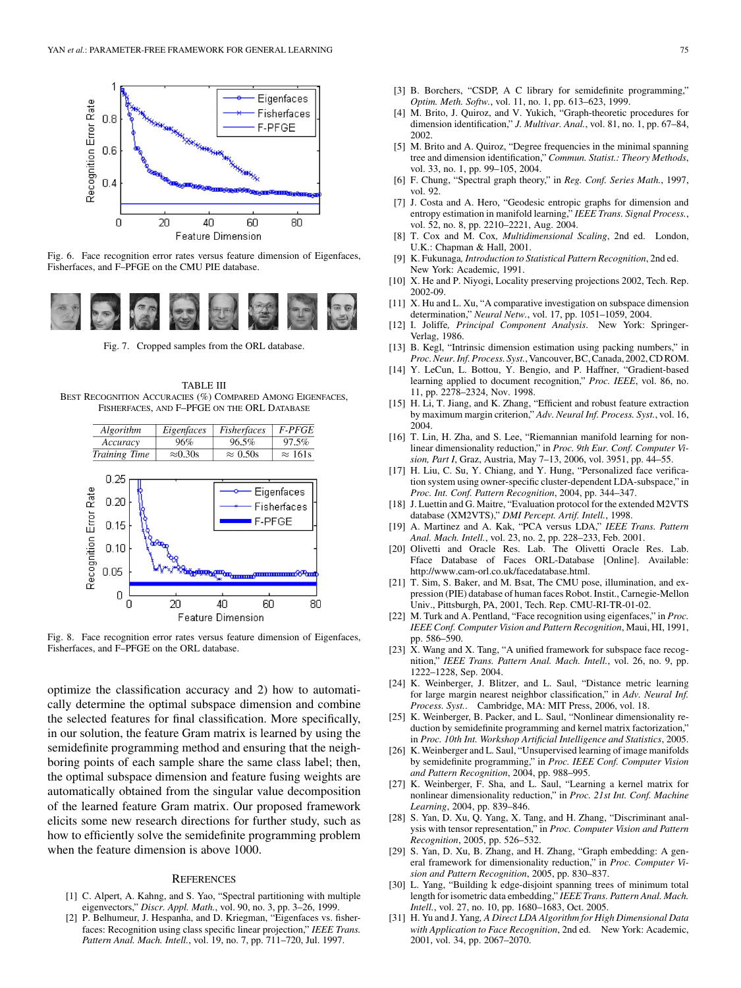<span id="page-6-0"></span>

Fig. 6. Face recognition error rates versus feature dimension of Eigenfaces, Fisherfaces, and F–PFGE on the CMU PIE database.



Fig. 7. Cropped samples from the ORL database.

TABLE III BEST RECOGNITION ACCURACIES (%) COMPARED AMONG EIGENFACES, FISHERFACES, AND F–PFGE ON THE ORL DATABASE



Fig. 8. Face recognition error rates versus feature dimension of Eigenfaces, Fisherfaces, and F–PFGE on the ORL database.

optimize the classification accuracy and 2) how to automatically determine the optimal subspace dimension and combine the selected features for final classification. More specifically, in our solution, the feature Gram matrix is learned by using the semidefinite programming method and ensuring that the neighboring points of each sample share the same class label; then, the optimal subspace dimension and feature fusing weights are automatically obtained from the singular value decomposition of the learned feature Gram matrix. Our proposed framework elicits some new research directions for further study, such as how to efficiently solve the semidefinite programming problem when the feature dimension is above 1000.

#### **REFERENCES**

- [1] C. Alpert, A. Kahng, and S. Yao, "Spectral partitioning with multiple eigenvectors," *Discr. Appl. Math.*, vol. 90, no. 3, pp. 3–26, 1999.
- [2] P. Belhumeur, J. Hespanha, and D. Kriegman, "Eigenfaces vs. fisherfaces: Recognition using class specific linear projection," *IEEE Trans. Pattern Anal. Mach. Intell.*, vol. 19, no. 7, pp. 711–720, Jul. 1997.
- [3] B. Borchers, "CSDP, A C library for semidefinite programming," *Optim. Meth. Softw.*, vol. 11, no. 1, pp. 613–623, 1999.
- [4] M. Brito, J. Quiroz, and V. Yukich, "Graph-theoretic procedures for dimension identification," *J. Multivar. Anal.*, vol. 81, no. 1, pp. 67–84, 2002.
- [5] M. Brito and A. Quiroz, "Degree frequencies in the minimal spanning tree and dimension identification," *Commun. Statist.: Theory Methods*, vol. 33, no. 1, pp. 99–105, 2004.
- [6] F. Chung, "Spectral graph theory," in *Reg. Conf. Series Math.*, 1997, vol. 92.
- [7] J. Costa and A. Hero, "Geodesic entropic graphs for dimension and entropy estimation in manifold learning," *IEEE Trans. Signal Process.*, vol. 52, no. 8, pp. 2210–2221, Aug. 2004.
- [8] T. Cox and M. Cox*, Multidimensional Scaling*, 2nd ed. London, U.K.: Chapman & Hall, 2001.
- [9] K. Fukunaga*, Introduction to Statistical Pattern Recognition*, 2nd ed. New York: Academic, 1991.
- [10] X. He and P. Niyogi, Locality preserving projections 2002, Tech. Rep. 2002-09.
- [11] X. Hu and L. Xu, "A comparative investigation on subspace dimension determination," *Neural Netw.*, vol. 17, pp. 1051–1059, 2004.
- [12] I. Joliffe*, Principal Component Analysis*. New York: Springer-Verlag, 1986.
- [13] B. Kegl, "Intrinsic dimension estimation using packing numbers," in *Proc. Neur. Inf. Process. Syst.*, Vancouver, BC, Canada, 2002, CD ROM.
- [14] Y. LeCun, L. Bottou, Y. Bengio, and P. Haffner, "Gradient-based learning applied to document recognition," *Proc. IEEE*, vol. 86, no. 11, pp. 2278–2324, Nov. 1998.
- [15] H. Li, T. Jiang, and K. Zhang, "Efficient and robust feature extraction by maximum margin criterion," *Adv. Neural Inf. Process. Syst.*, vol. 16, 2004.
- [16] T. Lin, H. Zha, and S. Lee, "Riemannian manifold learning for nonlinear dimensionality reduction," in *Proc. 9th Eur. Conf. Computer Vision, Part I*, Graz, Austria, May 7–13, 2006, vol. 3951, pp. 44–55.
- [17] H. Liu, C. Su, Y. Chiang, and Y. Hung, "Personalized face verification system using owner-specific cluster-dependent LDA-subspace," in *Proc. Int. Conf. Pattern Recognition*, 2004, pp. 344–347.
- [18] J. Luettin and G. Maitre, "Evaluation protocol for the extended M2VTS database (XM2VTS)," *DMI Percept. Artif. Intell.*, 1998.
- [19] A. Martinez and A. Kak, "PCA versus LDA," *IEEE Trans. Pattern Anal. Mach. Intell.*, vol. 23, no. 2, pp. 228–233, Feb. 2001.
- [20] Olivetti and Oracle Res. Lab. The Olivetti Oracle Res. Lab. Fface Database of Faces ORL-Database [Online]. Available: http://www.cam-orl.co.uk/facedatabase.html.
- [21] T. Sim, S. Baker, and M. Bsat, The CMU pose, illumination, and expression (PIE) database of human faces Robot. Instit., Carnegie-Mellon Univ., Pittsburgh, PA, 2001, Tech. Rep. CMU-RI-TR-01-02.
- [22] M. Turk and A. Pentland, "Face recognition using eigenfaces," in *Proc. IEEE Conf. Computer Vision and Pattern Recognition*, Maui, HI, 1991, pp. 586–590.
- [23] X. Wang and X. Tang, "A unified framework for subspace face recognition," *IEEE Trans. Pattern Anal. Mach. Intell.*, vol. 26, no. 9, pp. 1222–1228, Sep. 2004.
- [24] K. Weinberger, J. Blitzer, and L. Saul, "Distance metric learning for large margin nearest neighbor classification," in *Adv. Neural Inf. Process. Syst.*. Cambridge, MA: MIT Press, 2006, vol. 18.
- [25] K. Weinberger, B. Packer, and L. Saul, "Nonlinear dimensionality reduction by semidefinite programming and kernel matrix factorization," in *Proc. 10th Int. Workshop Artificial Intelligence and Statistics*, 2005.
- [26] K. Weinberger and L. Saul, "Unsupervised learning of image manifolds by semidefinite programming," in *Proc. IEEE Conf. Computer Vision and Pattern Recognition*, 2004, pp. 988–995.
- [27] K. Weinberger, F. Sha, and L. Saul, "Learning a kernel matrix for nonlinear dimensionality reduction," in *Proc. 21st Int. Conf. Machine Learning*, 2004, pp. 839–846.
- [28] S. Yan, D. Xu, Q. Yang, X. Tang, and H. Zhang, "Discriminant analysis with tensor representation," in *Proc. Computer Vision and Pattern Recognition*, 2005, pp. 526–532.
- [29] S. Yan, D. Xu, B. Zhang, and H. Zhang, "Graph embedding: A general framework for dimensionality reduction," in *Proc. Computer Vision and Pattern Recognition*, 2005, pp. 830–837.
- [30] L. Yang, "Building k edge-disjoint spanning trees of minimum total length for isometric data embedding," *IEEE Trans. Pattern Anal. Mach. Intell.*, vol. 27, no. 10, pp. 1680–1683, Oct. 2005.
- [31] H. Yu and J. Yang*, A Direct LDA Algorithm for High Dimensional Data with Application to Face Recognition*, 2nd ed. New York: Academic, 2001, vol. 34, pp. 2067–2070.